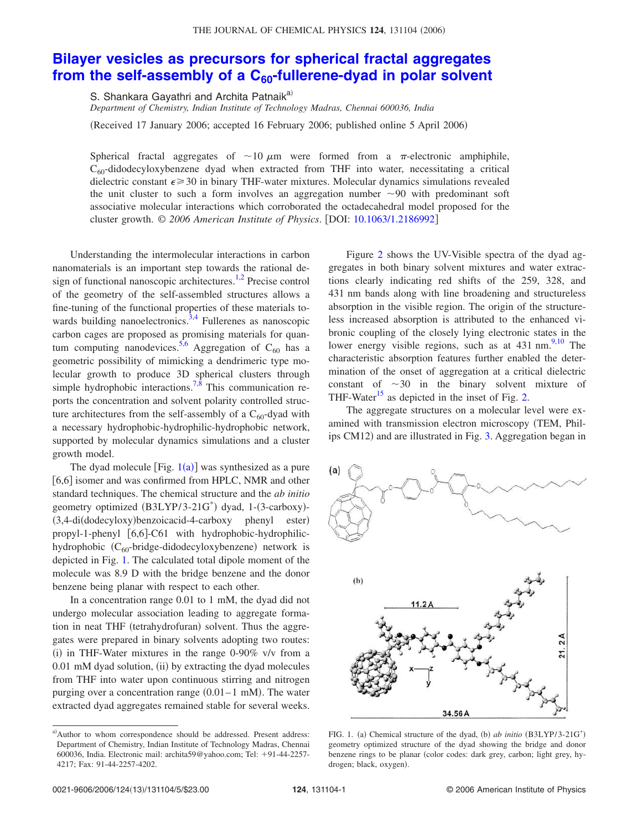## THE JOURNAL OF CHEMICAL PHYSICS 124, 131104 (2006)

## **Bilayer vesicles as precursors for spherical fractal aggregates from the self-assembly of a C60-fullerene-dyad in polar solvent**

S. Shankara Gayathri and Archita Patnaik<sup>a)</sup>

*Department of Chemistry, Indian Institute of Technology Madras, Chennai 600036, India* Received 17 January 2006; accepted 16 February 2006; published online 5 April 2006-

Spherical fractal aggregates of  $\sim 10 \mu m$  were formed from a  $\pi$ -electronic amphiphile,  $C_{60}$ -didodecyloxybenzene dyad when extracted from THF into water, necessitating a critical dielectric constant  $\epsilon \ge 30$  in binary THF-water mixtures. Molecular dynamics simulations revealed the unit cluster to such a form involves an aggregation number  $\sim$ 90 with predominant soft associative molecular interactions which corroborated the octadecahedral model proposed for the cluster growth. © *2006 American Institute of Physics*. DOI: 10.1063/1.2186992

Understanding the intermolecular interactions in carbon nanomaterials is an important step towards the rational design of functional nanoscopic architectures.<sup>1,2</sup> Precise control of the geometry of the self-assembled structures allows a fine-tuning of the functional properties of these materials towards building nanoelectronics.<sup>3,4</sup> Fullerenes as nanoscopic carbon cages are proposed as promising materials for quantum computing nanodevices.<sup>5,6</sup> Aggregation of C<sub>60</sub> has a geometric possibility of mimicking a dendrimeric type molecular growth to produce 3D spherical clusters through simple hydrophobic interactions.<sup>7,8</sup> This communication reports the concentration and solvent polarity controlled structure architectures from the self-assembly of a  $C_{60}$ -dyad with a necessary hydrophobic-hydrophilic-hydrophobic network, supported by molecular dynamics simulations and a cluster growth model.

The dyad molecule [Fig.  $1(a)$ ] was synthesized as a pure [6,6] isomer and was confirmed from HPLC, NMR and other standard techniques. The chemical structure and the *ab initio* geometry optimized (B3LYP/3-21G<sup>\*</sup>) dyad, 1-(3-carboxy)-(3,4-di(dodecyloxy)benzoicacid-4-carboxy phenyl ester) propyl-1-phenyl  $[6,6]$ -C61 with hydrophobic-hydrophilichydrophobic (C<sub>60</sub>-bridge-didodecyloxybenzene) network is depicted in Fig. 1. The calculated total dipole moment of the molecule was 8.9 D with the bridge benzene and the donor benzene being planar with respect to each other.

In a concentration range 0.01 to 1 mM, the dyad did not undergo molecular association leading to aggregate formation in neat THF (tetrahydrofuran) solvent. Thus the aggregates were prepared in binary solvents adopting two routes: (i) in THF-Water mixtures in the range  $0-90\%$  v/v from a 0.01 mM dyad solution, (ii) by extracting the dyad molecules from THF into water upon continuous stirring and nitrogen purging over a concentration range  $(0.01-1 \text{ mM})$ . The water extracted dyad aggregates remained stable for several weeks.

Figure 2 shows the UV-Visible spectra of the dyad aggregates in both binary solvent mixtures and water extractions clearly indicating red shifts of the 259, 328, and 431 nm bands along with line broadening and structureless absorption in the visible region. The origin of the structureless increased absorption is attributed to the enhanced vibronic coupling of the closely lying electronic states in the lower energy visible regions, such as at  $431 \text{ nm}^{9,10}$  The characteristic absorption features further enabled the determination of the onset of aggregation at a critical dielectric constant of  $\sim$ 30 in the binary solvent mixture of THF-Water $^{15}$  as depicted in the inset of Fig. 2.

The aggregate structures on a molecular level were examined with transmission electron microscopy TEM, Philips CM12) and are illustrated in Fig. 3. Aggregation began in



FIG. 1. (a) Chemical structure of the dyad, (b) *ab initio* (B3LYP/3-21G<sup>\*</sup>) geometry optimized structure of the dyad showing the bridge and donor benzene rings to be planar (color codes: dark grey, carbon; light grey, hydrogen; black, oxygen).

a)Author to whom correspondence should be addressed. Present address: Department of Chemistry, Indian Institute of Technology Madras, Chennai 600036, India. Electronic mail: archita59@yahoo.com; Tel: 91-44-2257- 4217; Fax: 91-44-2257-4202.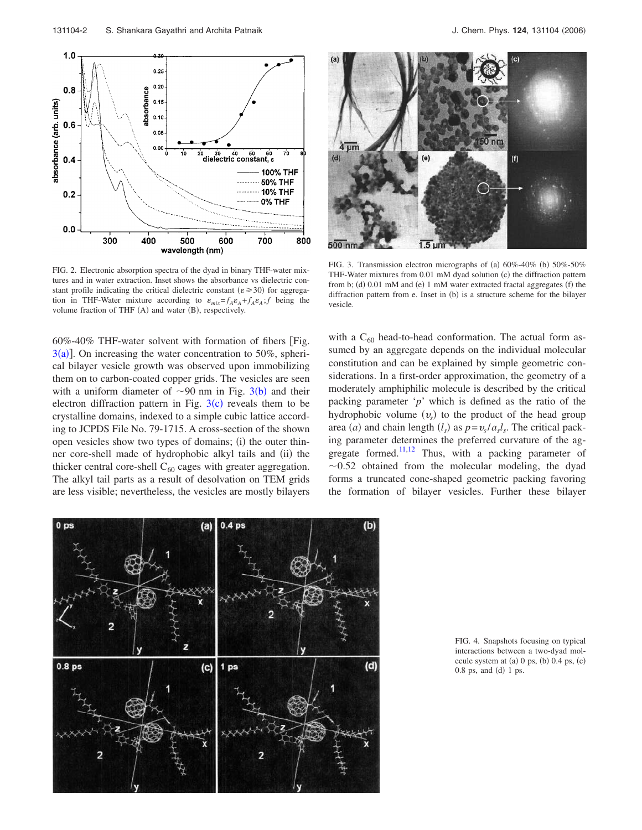

FIG. 2. Electronic absorption spectra of the dyad in binary THF-water mixtures and in water extraction. Inset shows the absorbance vs dielectric constant profile indicating the critical dielectric constant ( $\varepsilon \ge 30$ ) for aggregation in THF-Water mixture according to  $\varepsilon_{mix} = f_A \varepsilon_A + f_A \varepsilon_A$ ; *f* being the volume fraction of THF (A) and water (B), respectively.

60%-40% THF-water solvent with formation of fibers Fig.  $3(a)$ ]. On increasing the water concentration to 50%, spherical bilayer vesicle growth was observed upon immobilizing them on to carbon-coated copper grids. The vesicles are seen with a uniform diameter of  $\sim 90$  nm in Fig. 3(b) and their electron diffraction pattern in Fig.  $3(c)$  reveals them to be crystalline domains, indexed to a simple cubic lattice according to JCPDS File No. 79-1715. A cross-section of the shown open vesicles show two types of domains; (i) the outer thinner core-shell made of hydrophobic alkyl tails and (ii) the thicker central core-shell  $C_{60}$  cages with greater aggregation. The alkyl tail parts as a result of desolvation on TEM grids are less visible; nevertheless, the vesicles are mostly bilayers



FIG. 3. Transmission electron micrographs of (a)  $60\% -40\%$  (b)  $50\% -50\%$ THF-Water mixtures from 0.01 mM dyad solution (c) the diffraction pattern from b; (d) 0.01 mM and (e) 1 mM water extracted fractal aggregates (f) the diffraction pattern from e. Inset in (b) is a structure scheme for the bilayer vesicle.

with a  $C_{60}$  head-to-head conformation. The actual form assumed by an aggregate depends on the individual molecular constitution and can be explained by simple geometric considerations. In a first-order approximation, the geometry of a moderately amphiphilic molecule is described by the critical packing parameter '*p*' which is defined as the ratio of the hydrophobic volume  $(v_s)$  to the product of the head group area *(a)* and chain length *(l<sub>s</sub>)* as  $p = v_s / a_s l_s$ . The critical packing parameter determines the preferred curvature of the aggregate formed.<sup>11,12</sup> Thus, with a packing parameter of  $\sim$ 0.52 obtained from the molecular modeling, the dyad forms a truncated cone-shaped geometric packing favoring the formation of bilayer vesicles. Further these bilayer



FIG. 4. Snapshots focusing on typical interactions between a two-dyad molecule system at  $(a)$  0 ps,  $(b)$  0.4 ps,  $(c)$  $0.8$  ps, and  $(d)$  1 ps.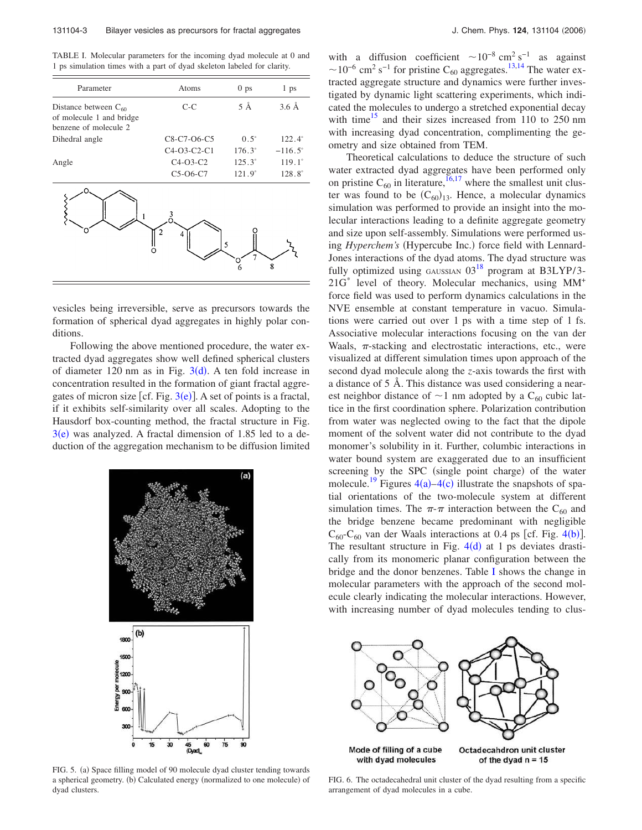TABLE I. Molecular parameters for the incoming dyad molecule at 0 and 1 ps simulation times with a part of dyad skeleton labeled for clarity.

| Parameter                                                                      | Atoms              | 0 <sub>ps</sub> | 1 <sub>ps</sub>     |
|--------------------------------------------------------------------------------|--------------------|-----------------|---------------------|
| Distance between $C_{60}$<br>of molecule 1 and bridge<br>benzene of molecule 2 | $C-C$              | $5\AA$          | $3.6\,\mathrm{\AA}$ |
| Dihedral angle                                                                 | C8-C7-O6-C5        | $0.5^\circ$     | $122.4^{\circ}$     |
|                                                                                | C4-O3-C2-C1        | $176.3^{\circ}$ | $-116.5^{\circ}$    |
| Angle                                                                          | $C4-O3-C2$         | $125.3^{\circ}$ | $119.1^{\circ}$     |
|                                                                                | C5-O6-C7           | $121.9^{\circ}$ | $128.8^{\circ}$     |
|                                                                                | $\frac{3}{2}$<br>4 | 5               | 8                   |

vesicles being irreversible, serve as precursors towards the formation of spherical dyad aggregates in highly polar conditions.

Following the above mentioned procedure, the water extracted dyad aggregates show well defined spherical clusters of diameter 120 nm as in Fig.  $3(d)$ . A ten fold increase in concentration resulted in the formation of giant fractal aggregates of micron size [cf. Fig.  $3(e)$ ]. A set of points is a fractal, if it exhibits self-similarity over all scales. Adopting to the Hausdorf box-counting method, the fractal structure in Fig.  $3(e)$  was analyzed. A fractal dimension of 1.85 led to a deduction of the aggregation mechanism to be diffusion limited



FIG. 5. (a) Space filling model of 90 molecule dyad cluster tending towards a spherical geometry. (b) Calculated energy (normalized to one molecule) of dyad clusters.

with a diffusion coefficient  $\sim 10^{-8}$  cm<sup>2</sup> s<sup>-1</sup> as against  $\sim$ 10<sup>-6</sup> cm<sup>2</sup> s<sup>-1</sup> for pristine C<sub>60</sub> aggregates.<sup>13,14</sup> The water extracted aggregate structure and dynamics were further investigated by dynamic light scattering experiments, which indicated the molecules to undergo a stretched exponential decay with time<sup>15</sup> and their sizes increased from 110 to 250 nm with increasing dyad concentration, complimenting the geometry and size obtained from TEM.

Theoretical calculations to deduce the structure of such water extracted dyad aggregates have been performed only on pristine  $C_{60}$  in literature,  $^{16,17}$  where the smallest unit cluster was found to be  $(C_{60})_{13}$ . Hence, a molecular dynamics simulation was performed to provide an insight into the molecular interactions leading to a definite aggregate geometry and size upon self-assembly. Simulations were performed using *Hyperchem's* (Hypercube Inc.) force field with Lennard-Jones interactions of the dyad atoms. The dyad structure was fully optimized using GAUSSIAN  $03^{18}$  program at B3LYP/3-21G\* level of theory. Molecular mechanics, using MM<sup>+</sup> force field was used to perform dynamics calculations in the NVE ensemble at constant temperature in vacuo. Simulations were carried out over 1 ps with a time step of 1 fs. Associative molecular interactions focusing on the van der Waals,  $\pi$ -stacking and electrostatic interactions, etc., were visualized at different simulation times upon approach of the second dyad molecule along the *z*-axis towards the first with a distance of 5 Å. This distance was used considering a nearest neighbor distance of  $\sim$ 1 nm adopted by a C<sub>60</sub> cubic lattice in the first coordination sphere. Polarization contribution from water was neglected owing to the fact that the dipole moment of the solvent water did not contribute to the dyad monomer's solubility in it. Further, columbic interactions in water bound system are exaggerated due to an insufficient screening by the SPC (single point charge) of the water molecule.<sup>19</sup> Figures  $4(a)$ - $4(c)$  illustrate the snapshots of spatial orientations of the two-molecule system at different simulation times. The  $\pi$ - $\pi$  interaction between the C<sub>60</sub> and the bridge benzene became predominant with negligible  $C_{60}$ - $C_{60}$  van der Waals interactions at 0.4 ps [cf. Fig. 4(b)]. The resultant structure in Fig.  $4(d)$  at 1 ps deviates drastically from its monomeric planar configuration between the bridge and the donor benzenes. Table I shows the change in molecular parameters with the approach of the second molecule clearly indicating the molecular interactions. However, with increasing number of dyad molecules tending to clus-



FIG. 6. The octadecahedral unit cluster of the dyad resulting from a specific arrangement of dyad molecules in a cube.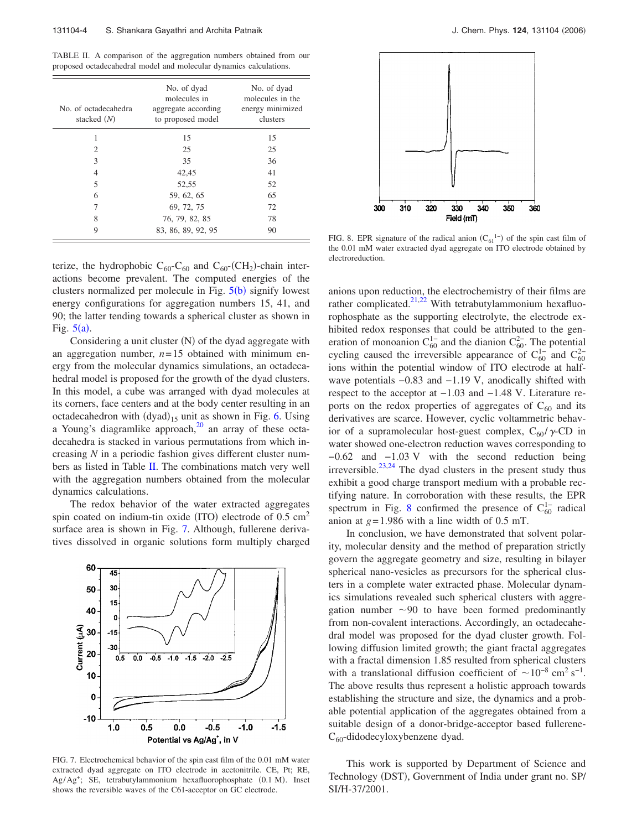TABLE II. A comparison of the aggregation numbers obtained from our proposed octadecahedral model and molecular dynamics calculations.

| No. of octadecahedra<br>stacked $(N)$ | No. of dyad<br>molecules in<br>aggregate according<br>to proposed model | No. of dyad<br>molecules in the<br>energy minimized<br>clusters |
|---------------------------------------|-------------------------------------------------------------------------|-----------------------------------------------------------------|
| 1                                     | 15                                                                      | 15                                                              |
| 2                                     | 25                                                                      | 25                                                              |
| 3                                     | 35                                                                      | 36                                                              |
| 4                                     | 42.45                                                                   | 41                                                              |
| 5                                     | 52,55                                                                   | 52                                                              |
| 6                                     | 59, 62, 65                                                              | 65                                                              |
| 7                                     | 69, 72, 75                                                              | 72                                                              |
| 8                                     | 76, 79, 82, 85                                                          | 78                                                              |
| 9                                     | 83, 86, 89, 92, 95                                                      | 90                                                              |

terize, the hydrophobic  $C_{60}$ - $C_{60}$  and  $C_{60}$ - $(CH_2)$ -chain interactions become prevalent. The computed energies of the clusters normalized per molecule in Fig.  $5(b)$  signify lowest energy configurations for aggregation numbers 15, 41, and 90; the latter tending towards a spherical cluster as shown in Fig.  $5(a)$ .

Considering a unit cluster  $(N)$  of the dyad aggregate with an aggregation number,  $n=15$  obtained with minimum energy from the molecular dynamics simulations, an octadecahedral model is proposed for the growth of the dyad clusters. In this model, a cube was arranged with dyad molecules at its corners, face centers and at the body center resulting in an octadecahedron with  $(dyad)_{15}$  unit as shown in Fig. 6. Using a Young's diagramlike approach, $20$  an array of these octadecahedra is stacked in various permutations from which increasing *N* in a periodic fashion gives different cluster numbers as listed in Table II. The combinations match very well with the aggregation numbers obtained from the molecular dynamics calculations.

The redox behavior of the water extracted aggregates spin coated on indium-tin oxide (ITO) electrode of  $0.5 \text{ cm}^2$ surface area is shown in Fig. 7. Although, fullerene derivatives dissolved in organic solutions form multiply charged



FIG. 7. Electrochemical behavior of the spin cast film of the 0.01 mM water extracted dyad aggregate on ITO electrode in acetonitrile. CE, Pt; RE, Ag/Ag<sup>+</sup>; SE, tetrabutylammonium hexafluorophosphate (0.1 M). Inset shows the reversible waves of the C61-acceptor on GC electrode.



FIG. 8. EPR signature of the radical anion  $(C_{61}^{1-})$  of the spin cast film of the 0.01 mM water extracted dyad aggregate on ITO electrode obtained by electroreduction.

anions upon reduction, the electrochemistry of their films are rather complicated.<sup>21,22</sup> With tetrabutylammonium hexafluorophosphate as the supporting electrolyte, the electrode exhibited redox responses that could be attributed to the generation of monoanion  $C_{60}^{1-}$  and the dianion  $C_{60}^{2-}$ . The potential cycling caused the irreversible appearance of  $C_{60}^{1-}$  and  $C_{60}^{2-}$ ions within the potential window of ITO electrode at halfwave potentials −0.83 and −1.19 V, anodically shifted with respect to the acceptor at −1.03 and −1.48 V. Literature reports on the redox properties of aggregates of  $C_{60}$  and its derivatives are scarce. However, cyclic voltammetric behavior of a supramolecular host-guest complex,  $C_{60}/\gamma$ -CD in water showed one-electron reduction waves corresponding to −0.62 and −1.03 V with the second reduction being irreversible.<sup>23,24</sup> The dyad clusters in the present study thus exhibit a good charge transport medium with a probable rectifying nature. In corroboration with these results, the EPR spectrum in Fig. 8 confirmed the presence of  $C_{60}^{1-}$  radical anion at  $g=1.986$  with a line width of 0.5 mT.

In conclusion, we have demonstrated that solvent polarity, molecular density and the method of preparation strictly govern the aggregate geometry and size, resulting in bilayer spherical nano-vesicles as precursors for the spherical clusters in a complete water extracted phase. Molecular dynamics simulations revealed such spherical clusters with aggregation number  $\sim$ 90 to have been formed predominantly from non-covalent interactions. Accordingly, an octadecahedral model was proposed for the dyad cluster growth. Following diffusion limited growth; the giant fractal aggregates with a fractal dimension 1.85 resulted from spherical clusters with a translational diffusion coefficient of  $\sim 10^{-8}$  cm<sup>2</sup> s<sup>-1</sup>. The above results thus represent a holistic approach towards establishing the structure and size, the dynamics and a probable potential application of the aggregates obtained from a suitable design of a donor-bridge-acceptor based fullerene-C<sub>60</sub>-didodecyloxybenzene dyad.

This work is supported by Department of Science and Technology (DST), Government of India under grant no. SP/ SI/H-37/2001.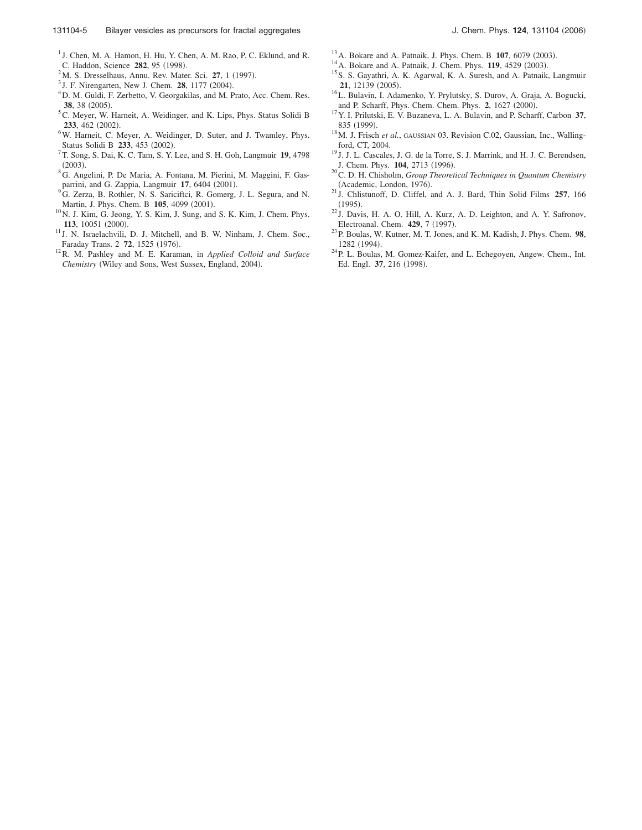- <sup>1</sup> J. Chen, M. A. Hamon, H. Hu, Y. Chen, A. M. Rao, P. C. Eklund, and R. C. Haddon, Science 282, 95 (1998).
- $2^2$ M. S. Dresselhaus, Annu. Rev. Mater. Sci. 27, 1 (1997).
- <sup>3</sup> J. F. Nirengarten, New J. Chem. **28**, 1177 (2004).
- <sup>4</sup> D. M. Guldi, F. Zerbetto, V. Georgakilas, and M. Prato, Acc. Chem. Res. 38, 38 (2005).
- <sup>5</sup>C. Meyer, W. Harneit, A. Weidinger, and K. Lips, Phys. Status Solidi B 233, 462 (2002).
- <sup>6</sup>W. Harneit, C. Meyer, A. Weidinger, D. Suter, and J. Twamley, Phys. Status Solidi B 233, 453 (2002).
- 7 T. Song, S. Dai, K. C. Tam, S. Y. Lee, and S. H. Goh, Langmuir **19**, 4798  $(2003).$
- <sup>8</sup>G. Angelini, P. De Maria, A. Fontana, M. Pierini, M. Maggini, F. Gasparrini, and G. Zappia, Langmuir 17, 6404 (2001).
- <sup>9</sup>G. Zerza, B. Rothler, N. S. Sariciftci, R. Gomerg, J. L. Segura, and N. Martin, J. Phys. Chem. B 105, 4099 (2001).
- <sup>10</sup>N. J. Kim, G. Jeong, Y. S. Kim, J. Sung, and S. K. Kim, J. Chem. Phys. 113, 10051 (2000).
- <sup>11</sup> J. N. Israelachvili, D. J. Mitchell, and B. W. Ninham, J. Chem. Soc., Faraday Trans. 2 72, 1525 (1976).
- <sup>12</sup>R. M. Pashley and M. E. Karaman, in *Applied Colloid and Surface* Chemistry (Wiley and Sons, West Sussex, England, 2004).
- <sup>13</sup> A. Bokare and A. Patnaik, J. Phys. Chem. B **107**, 6079 (2003).
- <sup>14</sup> A. Bokare and A. Patnaik, J. Chem. Phys. **119**, 4529 (2003).
- <sup>15</sup>S. S. Gayathri, A. K. Agarwal, K. A. Suresh, and A. Patnaik, Langmuir 21, 12139 (2005).
- <sup>16</sup>L. Bulavin, I. Adamenko, Y. Prylutsky, S. Durov, A. Graja, A. Bogucki, and P. Scharff, Phys. Chem. Chem. Phys. 2, 1627 (2000).
- <sup>17</sup>Y. I. Prilutski, E. V. Buzaneva, L. A. Bulavin, and P. Scharff, Carbon **37**, 835 (1999).
- <sup>18</sup>M. J. Frisch *et al.*, GAUSSIAN 03. Revision C.02, Gaussian, Inc., Wallingford, CT, 2004.
- $19$  J. J. L. Cascales, J. G. de la Torre, S. J. Marrink, and H. J. C. Berendsen, J. Chem. Phys. 104, 2713 (1996).
- <sup>20</sup>C. D. H. Chisholm, *Group Theoretical Techniques in Quantum Chemistry* (Academic, London, 1976).
- <sup>21</sup> J. Chlistunoff, D. Cliffel, and A. J. Bard, Thin Solid Films **257**, 166  $(1995).$
- $22 \overline{\phantom{a}}$ J. Davis, H. A. O. Hill, A. Kurz, A. D. Leighton, and A. Y. Safronov, Electroanal. Chem. 429, 7 (1997).
- <sup>23</sup>P. Boulas, W. Kutner, M. T. Jones, and K. M. Kadish, J. Phys. Chem. **98**, 1282 (1994).
- <sup>24</sup>P. L. Boulas, M. Gomez-Kaifer, and L. Echegoyen, Angew. Chem., Int. Ed. Engl. 37, 216 (1998).